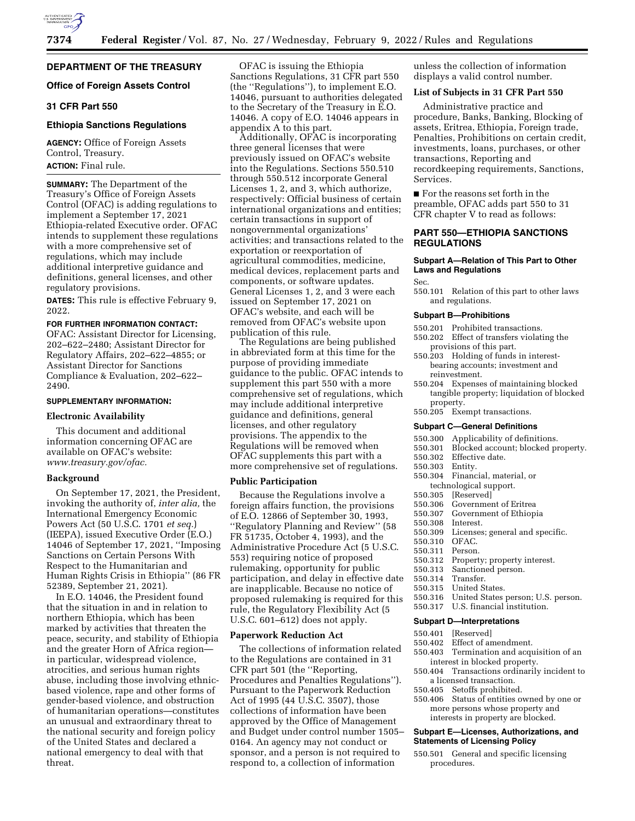

# **Office of Foreign Assets Control**

# **31 CFR Part 550**

# **Ethiopia Sanctions Regulations**

**AGENCY:** Office of Foreign Assets Control, Treasury. **ACTION:** Final rule.

**SUMMARY:** The Department of the Treasury's Office of Foreign Assets Control (OFAC) is adding regulations to implement a September 17, 2021 Ethiopia-related Executive order. OFAC intends to supplement these regulations with a more comprehensive set of regulations, which may include additional interpretive guidance and definitions, general licenses, and other regulatory provisions.

**DATES:** This rule is effective February 9, 2022.

# **FOR FURTHER INFORMATION CONTACT:**

OFAC: Assistant Director for Licensing, 202–622–2480; Assistant Director for Regulatory Affairs, 202–622–4855; or Assistant Director for Sanctions Compliance & Evaluation, 202–622– 2490.

### **SUPPLEMENTARY INFORMATION:**

#### **Electronic Availability**

This document and additional information concerning OFAC are available on OFAC's website: *[www.treasury.gov/ofac.](http://www.treasury.gov/ofac)* 

#### **Background**

On September 17, 2021, the President, invoking the authority of, *inter alia,* the International Emergency Economic Powers Act (50 U.S.C. 1701 *et seq.*) (IEEPA), issued Executive Order (E.O.) 14046 of September 17, 2021, ''Imposing Sanctions on Certain Persons With Respect to the Humanitarian and Human Rights Crisis in Ethiopia'' (86 FR 52389, September 21, 2021).

In E.O. 14046, the President found that the situation in and in relation to northern Ethiopia, which has been marked by activities that threaten the peace, security, and stability of Ethiopia and the greater Horn of Africa region in particular, widespread violence, atrocities, and serious human rights abuse, including those involving ethnicbased violence, rape and other forms of gender-based violence, and obstruction of humanitarian operations—constitutes an unusual and extraordinary threat to the national security and foreign policy of the United States and declared a national emergency to deal with that threat.

OFAC is issuing the Ethiopia Sanctions Regulations, 31 CFR part 550 (the ''Regulations''), to implement E.O. 14046, pursuant to authorities delegated to the Secretary of the Treasury in E.O. 14046. A copy of E.O. 14046 appears in appendix A to this part.

Additionally, OFAC is incorporating three general licenses that were previously issued on OFAC's website into the Regulations. Sections 550.510 through 550.512 incorporate General Licenses 1, 2, and 3, which authorize, respectively: Official business of certain international organizations and entities; certain transactions in support of nongovernmental organizations' activities; and transactions related to the exportation or reexportation of agricultural commodities, medicine, medical devices, replacement parts and components, or software updates. General Licenses 1, 2, and 3 were each issued on September 17, 2021 on OFAC's website, and each will be removed from OFAC's website upon publication of this rule.

The Regulations are being published in abbreviated form at this time for the purpose of providing immediate guidance to the public. OFAC intends to supplement this part 550 with a more comprehensive set of regulations, which may include additional interpretive guidance and definitions, general licenses, and other regulatory provisions. The appendix to the Regulations will be removed when OFAC supplements this part with a more comprehensive set of regulations.

# **Public Participation**

Because the Regulations involve a foreign affairs function, the provisions of E.O. 12866 of September 30, 1993, ''Regulatory Planning and Review'' (58 FR 51735, October 4, 1993), and the Administrative Procedure Act (5 U.S.C. 553) requiring notice of proposed rulemaking, opportunity for public participation, and delay in effective date are inapplicable. Because no notice of proposed rulemaking is required for this rule, the Regulatory Flexibility Act (5 U.S.C. 601–612) does not apply.

### **Paperwork Reduction Act**

The collections of information related to the Regulations are contained in 31 CFR part 501 (the ''Reporting, Procedures and Penalties Regulations''). Pursuant to the Paperwork Reduction Act of 1995 (44 U.S.C. 3507), those collections of information have been approved by the Office of Management and Budget under control number 1505– 0164. An agency may not conduct or sponsor, and a person is not required to respond to, a collection of information

unless the collection of information displays a valid control number.

#### **List of Subjects in 31 CFR Part 550**

Administrative practice and procedure, Banks, Banking, Blocking of assets, Eritrea, Ethiopia, Foreign trade, Penalties, Prohibitions on certain credit, investments, loans, purchases, or other transactions, Reporting and recordkeeping requirements, Sanctions, Services.

■ For the reasons set forth in the preamble, OFAC adds part 550 to 31 CFR chapter V to read as follows:

# **PART 550—ETHIOPIA SANCTIONS REGULATIONS**

## **Subpart A—Relation of This Part to Other Laws and Regulations**

Sec.

550.101 Relation of this part to other laws and regulations.

### **Subpart B—Prohibitions**

- 550.201 Prohibited transactions.
- 550.202 Effect of transfers violating the provisions of this part.
- 550.203 Holding of funds in interestbearing accounts; investment and reinvestment.
- 550.204 Expenses of maintaining blocked tangible property; liquidation of blocked property.
- 550.205 Exempt transactions.

# **Subpart C—General Definitions**

- 550.300 Applicability of definitions.
- 550.301 Blocked account; blocked property.
- 550.302 Effective date.
- 550.303 Entity.
- 550.304 Financial, material, or
- technological support.<br>550.305 [Reserved] [Reserved]
- 
- 550.306 Government of Eritrea
- 550.307 Government of Ethiopia Interest.
	-
- 550.309 Licenses; general and specific.
- 550.310 OFAC. 550.311 Person.
- 
- 550.312 Property; property interest.<br>550.313 Sanctioned person.
	- Sanctioned person.
- 550.314 Transfer.
- 550.315 United States.
	- 550.316 United States person; U.S. person.
- 550.317 U.S. financial institution.

#### **Subpart D—Interpretations**

- 
- 550.401 [Reserved] Effect of amendment.
- 550.403 Termination and acquisition of an interest in blocked property.
- 550.404 Transactions ordinarily incident to
- a licensed transaction.<br>550.405 Setoffs prohibite Setoffs prohibited.
- 550.406 Status of entities owned by one or more persons whose property and interests in property are blocked.

### **Subpart E—Licenses, Authorizations, and Statements of Licensing Policy**

550.501 General and specific licensing procedures.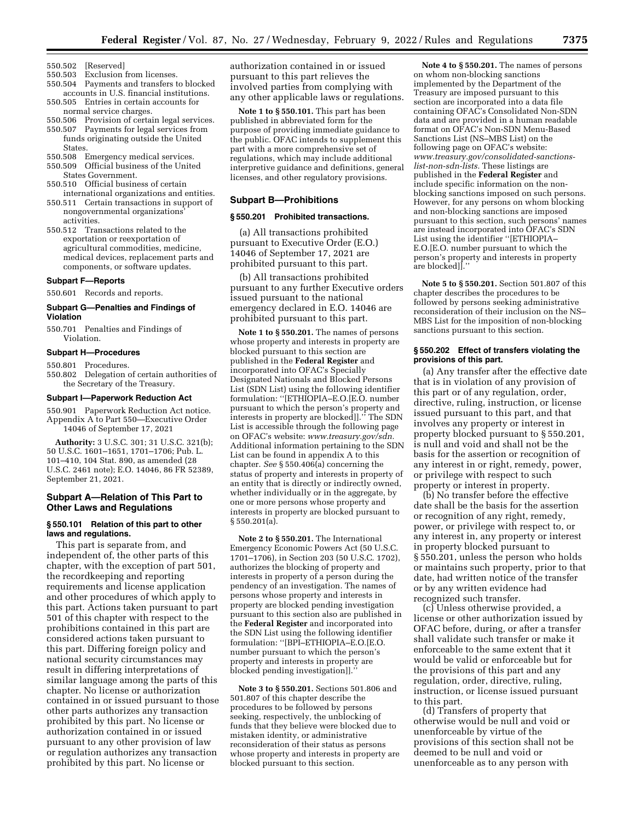- 550.502 [Reserved]
- 550.503 Exclusion from licenses.
- 550.504 Payments and transfers to blocked accounts in U.S. financial institutions.
- 550.505 Entries in certain accounts for normal service charges.
- 550.506 Provision of certain legal services. 550.507 Payments for legal services from
- funds originating outside the United States. 550.508 Emergency medical services.
- 550.509 Official business of the United States Government.
- 550.510 Official business of certain international organizations and entities.
- 550.511 Certain transactions in support of nongovernmental organizations'
- activities. 550.512 Transactions related to the exportation or reexportation of agricultural commodities, medicine, medical devices, replacement parts and components, or software updates.

#### **Subpart F—Reports**

550.601 Records and reports.

# **Subpart G—Penalties and Findings of Violation**

550.701 Penalties and Findings of Violation.

# **Subpart H—Procedures**

- 550.801 Procedures.
- 550.802 Delegation of certain authorities of the Secretary of the Treasury.

#### **Subpart I—Paperwork Reduction Act**

550.901 Paperwork Reduction Act notice. Appendix A to Part 550—Executive Order 14046 of September 17, 2021

**Authority:** 3 U.S.C. 301; 31 U.S.C. 321(b); 50 U.S.C. 1601–1651, 1701–1706; Pub. L. 101–410, 104 Stat. 890, as amended (28 U.S.C. 2461 note); E.O. 14046, 86 FR 52389, September 21, 2021.

# **Subpart A—Relation of This Part to Other Laws and Regulations**

## **§ 550.101 Relation of this part to other laws and regulations.**

This part is separate from, and independent of, the other parts of this chapter, with the exception of part 501, the recordkeeping and reporting requirements and license application and other procedures of which apply to this part. Actions taken pursuant to part 501 of this chapter with respect to the prohibitions contained in this part are considered actions taken pursuant to this part. Differing foreign policy and national security circumstances may result in differing interpretations of similar language among the parts of this chapter. No license or authorization contained in or issued pursuant to those other parts authorizes any transaction prohibited by this part. No license or authorization contained in or issued pursuant to any other provision of law or regulation authorizes any transaction prohibited by this part. No license or

authorization contained in or issued pursuant to this part relieves the involved parties from complying with any other applicable laws or regulations.

**Note 1 to § 550.101.** This part has been published in abbreviated form for the purpose of providing immediate guidance to the public. OFAC intends to supplement this part with a more comprehensive set of regulations, which may include additional interpretive guidance and definitions, general licenses, and other regulatory provisions.

### **Subpart B—Prohibitions**

### **§ 550.201 Prohibited transactions.**

(a) All transactions prohibited pursuant to Executive Order (E.O.) 14046 of September 17, 2021 are prohibited pursuant to this part.

(b) All transactions prohibited pursuant to any further Executive orders issued pursuant to the national emergency declared in E.O. 14046 are prohibited pursuant to this part.

**Note 1 to § 550.201.** The names of persons whose property and interests in property are blocked pursuant to this section are published in the **Federal Register** and incorporated into OFAC's Specially Designated Nationals and Blocked Persons List (SDN List) using the following identifier formulation: ''[ETHIOPIA–E.O.[E.O. number pursuant to which the person's property and interests in property are blocked]].'' The SDN List is accessible through the following page on OFAC's website: *[www.treasury.gov/sdn.](http://www.treasury.gov/sdn)*  Additional information pertaining to the SDN List can be found in appendix A to this chapter. *See* § 550.406(a) concerning the status of property and interests in property of an entity that is directly or indirectly owned, whether individually or in the aggregate, by one or more persons whose property and interests in property are blocked pursuant to § 550.201(a).

**Note 2 to § 550.201.** The International Emergency Economic Powers Act (50 U.S.C. 1701–1706), in Section 203 (50 U.S.C. 1702), authorizes the blocking of property and interests in property of a person during the pendency of an investigation. The names of persons whose property and interests in property are blocked pending investigation pursuant to this section also are published in the **Federal Register** and incorporated into the SDN List using the following identifier formulation: ''[BPI–ETHIOPIA–E.O.[E.O. number pursuant to which the person's property and interests in property are blocked pending investigation]].''

**Note 3 to § 550.201.** Sections 501.806 and 501.807 of this chapter describe the procedures to be followed by persons seeking, respectively, the unblocking of funds that they believe were blocked due to mistaken identity, or administrative reconsideration of their status as persons whose property and interests in property are blocked pursuant to this section.

**Note 4 to § 550.201.** The names of persons on whom non-blocking sanctions implemented by the Department of the Treasury are imposed pursuant to this section are incorporated into a data file containing OFAC's Consolidated Non-SDN data and are provided in a human readable format on OFAC's Non-SDN Menu-Based Sanctions List (NS–MBS List) on the following page on OFAC's website: *[www.treasury.gov/consolidated-sanctions](http://www.treasury.gov/consolidated-sanctions-list-non-sdn-lists)[list-non-sdn-lists.](http://www.treasury.gov/consolidated-sanctions-list-non-sdn-lists)* These listings are published in the **Federal Register** and include specific information on the nonblocking sanctions imposed on such persons. However, for any persons on whom blocking and non-blocking sanctions are imposed pursuant to this section, such persons' names are instead incorporated into OFAC's SDN List using the identifier ''[ETHIOPIA– E.O.[E.O. number pursuant to which the person's property and interests in property are blocked]].''

**Note 5 to § 550.201.** Section 501.807 of this chapter describes the procedures to be followed by persons seeking administrative reconsideration of their inclusion on the NS– MBS List for the imposition of non-blocking sanctions pursuant to this section.

## **§ 550.202 Effect of transfers violating the provisions of this part.**

(a) Any transfer after the effective date that is in violation of any provision of this part or of any regulation, order, directive, ruling, instruction, or license issued pursuant to this part, and that involves any property or interest in property blocked pursuant to § 550.201, is null and void and shall not be the basis for the assertion or recognition of any interest in or right, remedy, power, or privilege with respect to such property or interest in property.

(b) No transfer before the effective date shall be the basis for the assertion or recognition of any right, remedy, power, or privilege with respect to, or any interest in, any property or interest in property blocked pursuant to § 550.201, unless the person who holds or maintains such property, prior to that date, had written notice of the transfer or by any written evidence had recognized such transfer.

(c) Unless otherwise provided, a license or other authorization issued by OFAC before, during, or after a transfer shall validate such transfer or make it enforceable to the same extent that it would be valid or enforceable but for the provisions of this part and any regulation, order, directive, ruling, instruction, or license issued pursuant to this part.

(d) Transfers of property that otherwise would be null and void or unenforceable by virtue of the provisions of this section shall not be deemed to be null and void or unenforceable as to any person with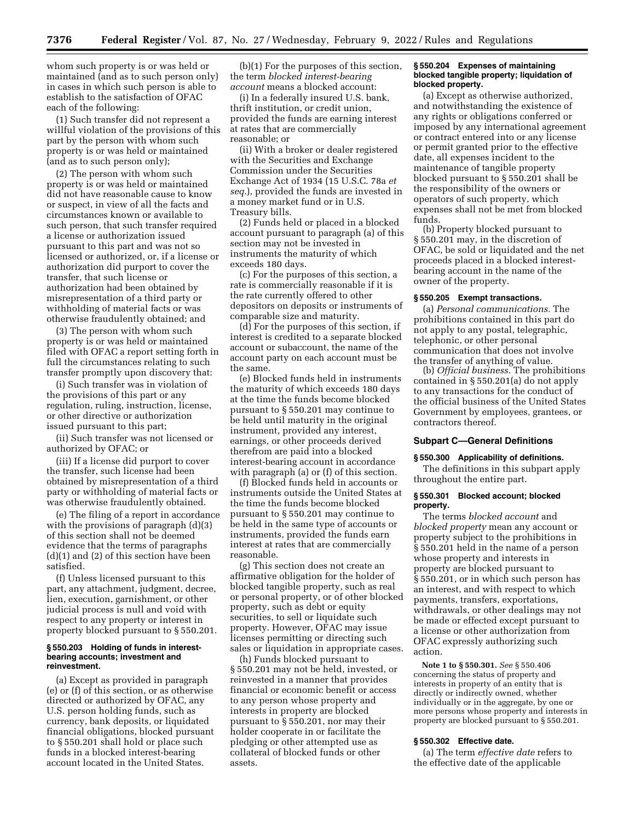whom such property is or was held or maintained (and as to such person only) in cases in which such person is able to establish to the satisfaction of OFAC each of the following:

(1) Such transfer did not represent a willful violation of the provisions of this part by the person with whom such property is or was held or maintained (and as to such person only);

(2) The person with whom such property is or was held or maintained did not have reasonable cause to know or suspect, in view of all the facts and circumstances known or available to such person, that such transfer required a license or authorization issued pursuant to this part and was not so licensed or authorized, or, if a license or authorization did purport to cover the transfer, that such license or authorization had been obtained by misrepresentation of a third party or withholding of material facts or was otherwise fraudulently obtained; and

(3) The person with whom such property is or was held or maintained filed with OFAC a report setting forth in full the circumstances relating to such transfer promptly upon discovery that:

(i) Such transfer was in violation of the provisions of this part or any regulation, ruling, instruction, license, or other directive or authorization issued pursuant to this part;

(ii) Such transfer was not licensed or authorized by OFAC; or

(iii) If a license did purport to cover the transfer, such license had been obtained by misrepresentation of a third party or withholding of material facts or was otherwise fraudulently obtained.

(e) The filing of a report in accordance with the provisions of paragraph (d)(3) of this section shall not be deemed evidence that the terms of paragraphs (d)(1) and (2) of this section have been satisfied.

(f) Unless licensed pursuant to this part, any attachment, judgment, decree, lien, execution, garnishment, or other judicial process is null and void with respect to any property or interest in property blocked pursuant to § 550.201.

#### **§ 550.203 Holding of funds in interestbearing accounts; investment and reinvestment.**

(a) Except as provided in paragraph (e) or (f) of this section, or as otherwise directed or authorized by OFAC, any U.S. person holding funds, such as currency, bank deposits, or liquidated financial obligations, blocked pursuant to § 550.201 shall hold or place such funds in a blocked interest-bearing account located in the United States.

(b)(1) For the purposes of this section, the term *blocked interest-bearing account* means a blocked account:

(i) In a federally insured U.S. bank, thrift institution, or credit union, provided the funds are earning interest at rates that are commercially reasonable; or

(ii) With a broker or dealer registered with the Securities and Exchange Commission under the Securities Exchange Act of 1934 (15 U.S.C. 78a *et seq.*), provided the funds are invested in a money market fund or in U.S. Treasury bills.

(2) Funds held or placed in a blocked account pursuant to paragraph (a) of this section may not be invested in instruments the maturity of which exceeds 180 days.

(c) For the purposes of this section, a rate is commercially reasonable if it is the rate currently offered to other depositors on deposits or instruments of comparable size and maturity.

(d) For the purposes of this section, if interest is credited to a separate blocked account or subaccount, the name of the account party on each account must be the same.

(e) Blocked funds held in instruments the maturity of which exceeds 180 days at the time the funds become blocked pursuant to § 550.201 may continue to be held until maturity in the original instrument, provided any interest, earnings, or other proceeds derived therefrom are paid into a blocked interest-bearing account in accordance with paragraph (a) or (f) of this section.

(f) Blocked funds held in accounts or instruments outside the United States at the time the funds become blocked pursuant to § 550.201 may continue to be held in the same type of accounts or instruments, provided the funds earn interest at rates that are commercially reasonable.

(g) This section does not create an affirmative obligation for the holder of blocked tangible property, such as real or personal property, or of other blocked property, such as debt or equity securities, to sell or liquidate such property. However, OFAC may issue licenses permitting or directing such sales or liquidation in appropriate cases.

(h) Funds blocked pursuant to § 550.201 may not be held, invested, or reinvested in a manner that provides financial or economic benefit or access to any person whose property and interests in property are blocked pursuant to § 550.201, nor may their holder cooperate in or facilitate the pledging or other attempted use as collateral of blocked funds or other assets.

# **§ 550.204 Expenses of maintaining blocked tangible property; liquidation of blocked property.**

(a) Except as otherwise authorized, and notwithstanding the existence of any rights or obligations conferred or imposed by any international agreement or contract entered into or any license or permit granted prior to the effective date, all expenses incident to the maintenance of tangible property blocked pursuant to § 550.201 shall be the responsibility of the owners or operators of such property, which expenses shall not be met from blocked funds.

(b) Property blocked pursuant to § 550.201 may, in the discretion of OFAC, be sold or liquidated and the net proceeds placed in a blocked interestbearing account in the name of the owner of the property.

# **§ 550.205 Exempt transactions.**

(a) *Personal communications.* The prohibitions contained in this part do not apply to any postal, telegraphic, telephonic, or other personal communication that does not involve the transfer of anything of value.

(b) *Official business.* The prohibitions contained in § 550.201(a) do not apply to any transactions for the conduct of the official business of the United States Government by employees, grantees, or contractors thereof.

## **Subpart C—General Definitions**

# **§ 550.300 Applicability of definitions.**

The definitions in this subpart apply throughout the entire part.

#### **§ 550.301 Blocked account; blocked property.**

The terms *blocked account* and *blocked property* mean any account or property subject to the prohibitions in § 550.201 held in the name of a person whose property and interests in property are blocked pursuant to § 550.201, or in which such person has an interest, and with respect to which payments, transfers, exportations, withdrawals, or other dealings may not be made or effected except pursuant to a license or other authorization from OFAC expressly authorizing such action.

**Note 1 to § 550.301.** *See* § 550.406 concerning the status of property and interests in property of an entity that is directly or indirectly owned, whether individually or in the aggregate, by one or more persons whose property and interests in property are blocked pursuant to § 550.201.

#### **§ 550.302 Effective date.**

(a) The term *effective date* refers to the effective date of the applicable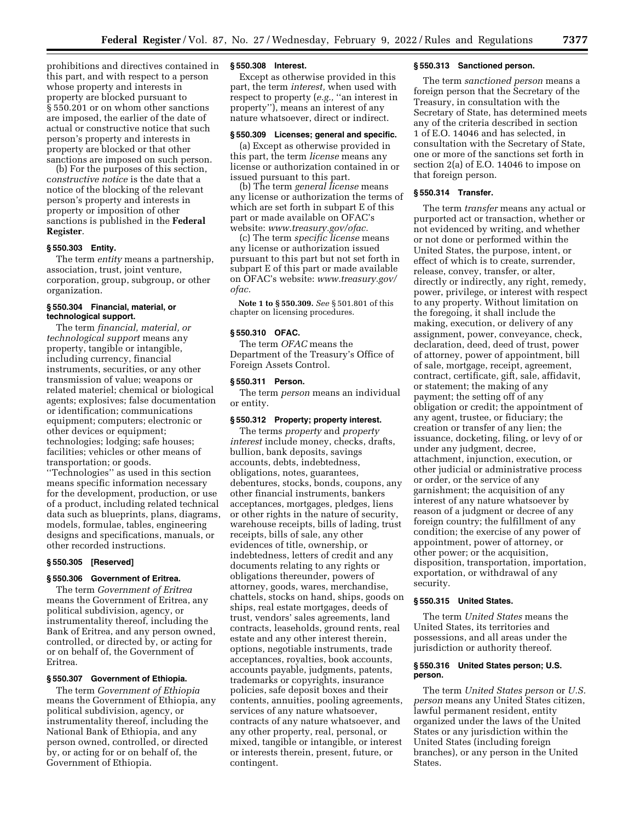prohibitions and directives contained in this part, and with respect to a person whose property and interests in property are blocked pursuant to § 550.201 or on whom other sanctions are imposed, the earlier of the date of actual or constructive notice that such person's property and interests in property are blocked or that other sanctions are imposed on such person.

(b) For the purposes of this section, c*onstructive notice* is the date that a notice of the blocking of the relevant person's property and interests in property or imposition of other sanctions is published in the **Federal Register**.

#### **§ 550.303 Entity.**

The term *entity* means a partnership, association, trust, joint venture, corporation, group, subgroup, or other organization.

# **§ 550.304 Financial, material, or technological support.**

The term *financial, material, or technological support* means any property, tangible or intangible, including currency, financial instruments, securities, or any other transmission of value; weapons or related materiel; chemical or biological agents; explosives; false documentation or identification; communications equipment; computers; electronic or other devices or equipment; technologies; lodging; safe houses; facilities; vehicles or other means of transportation; or goods.

''Technologies'' as used in this section means specific information necessary for the development, production, or use of a product, including related technical data such as blueprints, plans, diagrams, models, formulae, tables, engineering designs and specifications, manuals, or other recorded instructions.

# **§ 550.305 [Reserved]**

#### **§ 550.306 Government of Eritrea.**

The term *Government of Eritrea*  means the Government of Eritrea, any political subdivision, agency, or instrumentality thereof, including the Bank of Eritrea, and any person owned, controlled, or directed by, or acting for or on behalf of, the Government of Eritrea.

# **§ 550.307 Government of Ethiopia.**

The term *Government of Ethiopia*  means the Government of Ethiopia, any political subdivision, agency, or instrumentality thereof, including the National Bank of Ethiopia, and any person owned, controlled, or directed by, or acting for or on behalf of, the Government of Ethiopia.

# **§ 550.308 Interest.**

Except as otherwise provided in this part, the term *interest,* when used with respect to property (*e.g.,* ''an interest in property''), means an interest of any nature whatsoever, direct or indirect.

# **§ 550.309 Licenses; general and specific.**

(a) Except as otherwise provided in this part, the term *license* means any license or authorization contained in or issued pursuant to this part.

(b) The term *general license* means any license or authorization the terms of which are set forth in subpart E of this part or made available on OFAC's website: *[www.treasury.gov/ofac.](http://www.treasury.gov/ofac)* 

(c) The term *specific license* means any license or authorization issued pursuant to this part but not set forth in subpart E of this part or made available on OFAC's website: *[www.treasury.gov/](http://www.treasury.gov/ofac)  [ofac.](http://www.treasury.gov/ofac)* 

**Note 1 to § 550.309.** *See* § 501.801 of this chapter on licensing procedures.

#### **§ 550.310 OFAC.**

The term *OFAC* means the Department of the Treasury's Office of Foreign Assets Control.

# **§ 550.311 Person.**

The term *person* means an individual or entity.

#### **§ 550.312 Property; property interest.**

The terms *property* and *property interest* include money, checks, drafts, bullion, bank deposits, savings accounts, debts, indebtedness, obligations, notes, guarantees, debentures, stocks, bonds, coupons, any other financial instruments, bankers acceptances, mortgages, pledges, liens or other rights in the nature of security, warehouse receipts, bills of lading, trust receipts, bills of sale, any other evidences of title, ownership, or indebtedness, letters of credit and any documents relating to any rights or obligations thereunder, powers of attorney, goods, wares, merchandise, chattels, stocks on hand, ships, goods on ships, real estate mortgages, deeds of trust, vendors' sales agreements, land contracts, leaseholds, ground rents, real estate and any other interest therein, options, negotiable instruments, trade acceptances, royalties, book accounts, accounts payable, judgments, patents, trademarks or copyrights, insurance policies, safe deposit boxes and their contents, annuities, pooling agreements, services of any nature whatsoever, contracts of any nature whatsoever, and any other property, real, personal, or mixed, tangible or intangible, or interest or interests therein, present, future, or contingent.

# **§ 550.313 Sanctioned person.**

The term *sanctioned person* means a foreign person that the Secretary of the Treasury, in consultation with the Secretary of State, has determined meets any of the criteria described in section 1 of E.O. 14046 and has selected, in consultation with the Secretary of State, one or more of the sanctions set forth in section 2(a) of E.O. 14046 to impose on that foreign person.

# **§ 550.314 Transfer.**

The term *transfer* means any actual or purported act or transaction, whether or not evidenced by writing, and whether or not done or performed within the United States, the purpose, intent, or effect of which is to create, surrender, release, convey, transfer, or alter, directly or indirectly, any right, remedy, power, privilege, or interest with respect to any property. Without limitation on the foregoing, it shall include the making, execution, or delivery of any assignment, power, conveyance, check, declaration, deed, deed of trust, power of attorney, power of appointment, bill of sale, mortgage, receipt, agreement, contract, certificate, gift, sale, affidavit, or statement; the making of any payment; the setting off of any obligation or credit; the appointment of any agent, trustee, or fiduciary; the creation or transfer of any lien; the issuance, docketing, filing, or levy of or under any judgment, decree, attachment, injunction, execution, or other judicial or administrative process or order, or the service of any garnishment; the acquisition of any interest of any nature whatsoever by reason of a judgment or decree of any foreign country; the fulfillment of any condition; the exercise of any power of appointment, power of attorney, or other power; or the acquisition, disposition, transportation, importation, exportation, or withdrawal of any security.

### **§ 550.315 United States.**

The term *United States* means the United States, its territories and possessions, and all areas under the jurisdiction or authority thereof.

#### **§ 550.316 United States person; U.S. person.**

The term *United States person* or *U.S. person* means any United States citizen, lawful permanent resident, entity organized under the laws of the United States or any jurisdiction within the United States (including foreign branches), or any person in the United States.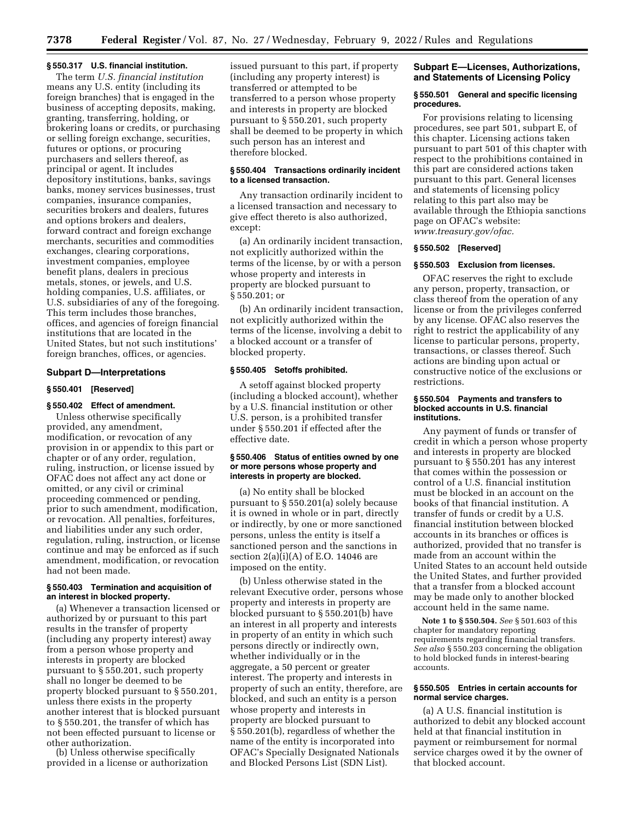#### **§ 550.317 U.S. financial institution.**

The term *U.S. financial institution*  means any U.S. entity (including its foreign branches) that is engaged in the business of accepting deposits, making, granting, transferring, holding, or brokering loans or credits, or purchasing or selling foreign exchange, securities, futures or options, or procuring purchasers and sellers thereof, as principal or agent. It includes depository institutions, banks, savings banks, money services businesses, trust companies, insurance companies, securities brokers and dealers, futures and options brokers and dealers, forward contract and foreign exchange merchants, securities and commodities exchanges, clearing corporations, investment companies, employee benefit plans, dealers in precious metals, stones, or jewels, and U.S. holding companies, U.S. affiliates, or U.S. subsidiaries of any of the foregoing. This term includes those branches, offices, and agencies of foreign financial institutions that are located in the United States, but not such institutions' foreign branches, offices, or agencies.

## **Subpart D—Interpretations**

# **§ 550.401 [Reserved]**

# **§ 550.402 Effect of amendment.**

Unless otherwise specifically provided, any amendment, modification, or revocation of any provision in or appendix to this part or chapter or of any order, regulation, ruling, instruction, or license issued by OFAC does not affect any act done or omitted, or any civil or criminal proceeding commenced or pending, prior to such amendment, modification, or revocation. All penalties, forfeitures, and liabilities under any such order, regulation, ruling, instruction, or license continue and may be enforced as if such amendment, modification, or revocation had not been made.

### **§ 550.403 Termination and acquisition of an interest in blocked property.**

(a) Whenever a transaction licensed or authorized by or pursuant to this part results in the transfer of property (including any property interest) away from a person whose property and interests in property are blocked pursuant to § 550.201, such property shall no longer be deemed to be property blocked pursuant to § 550.201, unless there exists in the property another interest that is blocked pursuant to § 550.201, the transfer of which has not been effected pursuant to license or other authorization.

(b) Unless otherwise specifically provided in a license or authorization

issued pursuant to this part, if property (including any property interest) is transferred or attempted to be transferred to a person whose property and interests in property are blocked pursuant to § 550.201, such property shall be deemed to be property in which such person has an interest and therefore blocked.

# **§ 550.404 Transactions ordinarily incident to a licensed transaction.**

Any transaction ordinarily incident to a licensed transaction and necessary to give effect thereto is also authorized, except:

(a) An ordinarily incident transaction, not explicitly authorized within the terms of the license, by or with a person whose property and interests in property are blocked pursuant to § 550.201; or

(b) An ordinarily incident transaction, not explicitly authorized within the terms of the license, involving a debit to a blocked account or a transfer of blocked property.

# **§ 550.405 Setoffs prohibited.**

A setoff against blocked property (including a blocked account), whether by a U.S. financial institution or other U.S. person, is a prohibited transfer under § 550.201 if effected after the effective date.

# **§ 550.406 Status of entities owned by one or more persons whose property and interests in property are blocked.**

(a) No entity shall be blocked pursuant to § 550.201(a) solely because it is owned in whole or in part, directly or indirectly, by one or more sanctioned persons, unless the entity is itself a sanctioned person and the sanctions in section  $2(a)(i)(A)$  of E.O. 14046 are imposed on the entity.

(b) Unless otherwise stated in the relevant Executive order, persons whose property and interests in property are blocked pursuant to § 550.201(b) have an interest in all property and interests in property of an entity in which such persons directly or indirectly own, whether individually or in the aggregate, a 50 percent or greater interest. The property and interests in property of such an entity, therefore, are blocked, and such an entity is a person whose property and interests in property are blocked pursuant to § 550.201(b), regardless of whether the name of the entity is incorporated into OFAC's Specially Designated Nationals and Blocked Persons List (SDN List).

# **Subpart E—Licenses, Authorizations, and Statements of Licensing Policy**

#### **§ 550.501 General and specific licensing procedures.**

For provisions relating to licensing procedures, see part 501, subpart E, of this chapter. Licensing actions taken pursuant to part 501 of this chapter with respect to the prohibitions contained in this part are considered actions taken pursuant to this part. General licenses and statements of licensing policy relating to this part also may be available through the Ethiopia sanctions page on OFAC's website: *[www.treasury.gov/ofac.](http://www.treasury.gov/ofac)* 

#### **§ 550.502 [Reserved]**

#### **§ 550.503 Exclusion from licenses.**

OFAC reserves the right to exclude any person, property, transaction, or class thereof from the operation of any license or from the privileges conferred by any license. OFAC also reserves the right to restrict the applicability of any license to particular persons, property, transactions, or classes thereof. Such actions are binding upon actual or constructive notice of the exclusions or restrictions.

### **§ 550.504 Payments and transfers to blocked accounts in U.S. financial institutions.**

Any payment of funds or transfer of credit in which a person whose property and interests in property are blocked pursuant to § 550.201 has any interest that comes within the possession or control of a U.S. financial institution must be blocked in an account on the books of that financial institution. A transfer of funds or credit by a U.S. financial institution between blocked accounts in its branches or offices is authorized, provided that no transfer is made from an account within the United States to an account held outside the United States, and further provided that a transfer from a blocked account may be made only to another blocked account held in the same name.

**Note 1 to § 550.504.** *See* § 501.603 of this chapter for mandatory reporting requirements regarding financial transfers. *See also* § 550.203 concerning the obligation to hold blocked funds in interest-bearing accounts.

## **§ 550.505 Entries in certain accounts for normal service charges.**

(a) A U.S. financial institution is authorized to debit any blocked account held at that financial institution in payment or reimbursement for normal service charges owed it by the owner of that blocked account.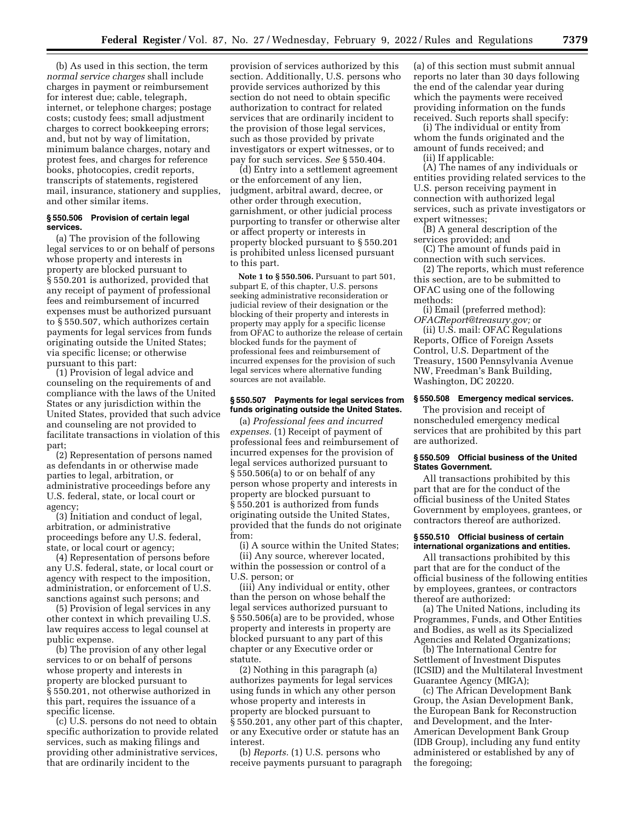(b) As used in this section, the term *normal service charges* shall include charges in payment or reimbursement for interest due; cable, telegraph, internet, or telephone charges; postage costs; custody fees; small adjustment charges to correct bookkeeping errors; and, but not by way of limitation, minimum balance charges, notary and protest fees, and charges for reference books, photocopies, credit reports, transcripts of statements, registered mail, insurance, stationery and supplies, and other similar items.

#### **§ 550.506 Provision of certain legal services.**

(a) The provision of the following legal services to or on behalf of persons whose property and interests in property are blocked pursuant to § 550.201 is authorized, provided that any receipt of payment of professional fees and reimbursement of incurred expenses must be authorized pursuant to § 550.507, which authorizes certain payments for legal services from funds originating outside the United States; via specific license; or otherwise pursuant to this part:

(1) Provision of legal advice and counseling on the requirements of and compliance with the laws of the United States or any jurisdiction within the United States, provided that such advice and counseling are not provided to facilitate transactions in violation of this part;

(2) Representation of persons named as defendants in or otherwise made parties to legal, arbitration, or administrative proceedings before any U.S. federal, state, or local court or agency;

(3) Initiation and conduct of legal, arbitration, or administrative proceedings before any U.S. federal, state, or local court or agency;

(4) Representation of persons before any U.S. federal, state, or local court or agency with respect to the imposition, administration, or enforcement of U.S. sanctions against such persons; and

(5) Provision of legal services in any other context in which prevailing U.S. law requires access to legal counsel at public expense.

(b) The provision of any other legal services to or on behalf of persons whose property and interests in property are blocked pursuant to § 550.201, not otherwise authorized in this part, requires the issuance of a specific license.

(c) U.S. persons do not need to obtain specific authorization to provide related services, such as making filings and providing other administrative services, that are ordinarily incident to the

provision of services authorized by this section. Additionally, U.S. persons who provide services authorized by this section do not need to obtain specific authorization to contract for related services that are ordinarily incident to the provision of those legal services, such as those provided by private investigators or expert witnesses, or to pay for such services. *See* § 550.404.

(d) Entry into a settlement agreement or the enforcement of any lien, judgment, arbitral award, decree, or other order through execution, garnishment, or other judicial process purporting to transfer or otherwise alter or affect property or interests in property blocked pursuant to § 550.201 is prohibited unless licensed pursuant to this part.

**Note 1 to § 550.506.** Pursuant to part 501, subpart E, of this chapter, U.S. persons seeking administrative reconsideration or judicial review of their designation or the blocking of their property and interests in property may apply for a specific license from OFAC to authorize the release of certain blocked funds for the payment of professional fees and reimbursement of incurred expenses for the provision of such legal services where alternative funding sources are not available.

### **§ 550.507 Payments for legal services from funds originating outside the United States.**

(a) *Professional fees and incurred expenses.* (1) Receipt of payment of professional fees and reimbursement of incurred expenses for the provision of legal services authorized pursuant to § 550.506(a) to or on behalf of any person whose property and interests in property are blocked pursuant to § 550.201 is authorized from funds originating outside the United States, provided that the funds do not originate from:

(i) A source within the United States; (ii) Any source, wherever located,

within the possession or control of a U.S. person; or

(iii) Any individual or entity, other than the person on whose behalf the legal services authorized pursuant to § 550.506(a) are to be provided, whose property and interests in property are blocked pursuant to any part of this chapter or any Executive order or statute.

(2) Nothing in this paragraph (a) authorizes payments for legal services using funds in which any other person whose property and interests in property are blocked pursuant to § 550.201, any other part of this chapter, or any Executive order or statute has an interest.

(b) *Reports.* (1) U.S. persons who receive payments pursuant to paragraph (a) of this section must submit annual reports no later than 30 days following the end of the calendar year during which the payments were received providing information on the funds received. Such reports shall specify:

(i) The individual or entity from whom the funds originated and the amount of funds received; and (ii) If applicable:

(A) The names of any individuals or entities providing related services to the U.S. person receiving payment in connection with authorized legal services, such as private investigators or expert witnesses;

(B) A general description of the services provided; and

(C) The amount of funds paid in connection with such services.

(2) The reports, which must reference this section, are to be submitted to OFAC using one of the following methods:

(i) Email (preferred method): *[OFACReport@treasury.gov;](mailto:OFACReport@treasury.gov)* or

(ii) U.S. mail: OFAC Regulations Reports, Office of Foreign Assets Control, U.S. Department of the Treasury, 1500 Pennsylvania Avenue NW, Freedman's Bank Building, Washington, DC 20220.

### **§ 550.508 Emergency medical services.**

The provision and receipt of nonscheduled emergency medical services that are prohibited by this part are authorized.

## **§ 550.509 Official business of the United States Government.**

All transactions prohibited by this part that are for the conduct of the official business of the United States Government by employees, grantees, or contractors thereof are authorized.

### **§ 550.510 Official business of certain international organizations and entities.**

All transactions prohibited by this part that are for the conduct of the official business of the following entities by employees, grantees, or contractors thereof are authorized:

(a) The United Nations, including its Programmes, Funds, and Other Entities and Bodies, as well as its Specialized Agencies and Related Organizations;

(b) The International Centre for Settlement of Investment Disputes (ICSID) and the Multilateral Investment Guarantee Agency (MIGA);

(c) The African Development Bank Group, the Asian Development Bank, the European Bank for Reconstruction and Development, and the Inter-American Development Bank Group (IDB Group), including any fund entity administered or established by any of the foregoing;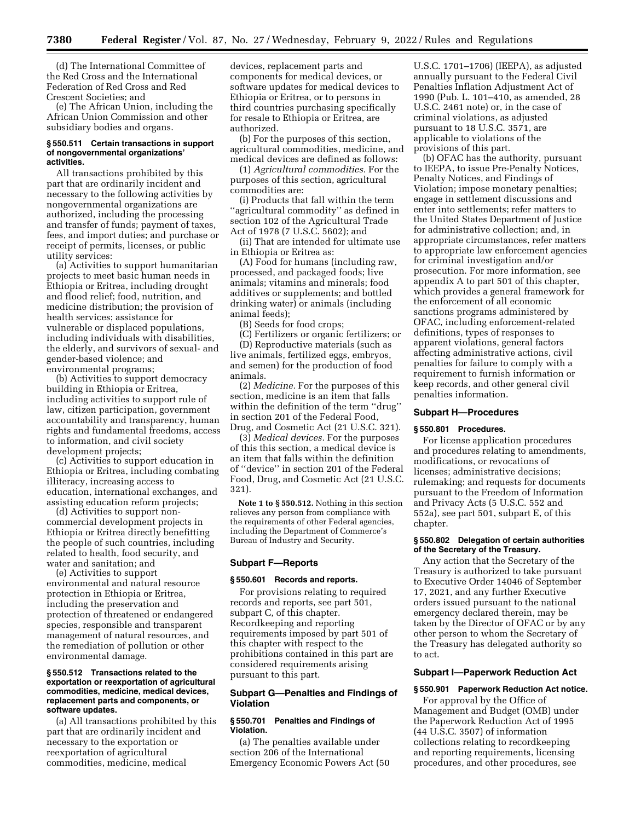(d) The International Committee of the Red Cross and the International Federation of Red Cross and Red Crescent Societies; and

(e) The African Union, including the African Union Commission and other subsidiary bodies and organs.

#### **§ 550.511 Certain transactions in support of nongovernmental organizations' activities.**

All transactions prohibited by this part that are ordinarily incident and necessary to the following activities by nongovernmental organizations are authorized, including the processing and transfer of funds; payment of taxes, fees, and import duties; and purchase or receipt of permits, licenses, or public utility services:

(a) Activities to support humanitarian projects to meet basic human needs in Ethiopia or Eritrea, including drought and flood relief; food, nutrition, and medicine distribution; the provision of health services; assistance for vulnerable or displaced populations, including individuals with disabilities, the elderly, and survivors of sexual- and gender-based violence; and environmental programs;

(b) Activities to support democracy building in Ethiopia or Eritrea, including activities to support rule of law, citizen participation, government accountability and transparency, human rights and fundamental freedoms, access to information, and civil society development projects;

(c) Activities to support education in Ethiopia or Eritrea, including combating illiteracy, increasing access to education, international exchanges, and assisting education reform projects;

(d) Activities to support noncommercial development projects in Ethiopia or Eritrea directly benefitting the people of such countries, including related to health, food security, and water and sanitation; and

(e) Activities to support environmental and natural resource protection in Ethiopia or Eritrea, including the preservation and protection of threatened or endangered species, responsible and transparent management of natural resources, and the remediation of pollution or other environmental damage.

### **§ 550.512 Transactions related to the exportation or reexportation of agricultural commodities, medicine, medical devices, replacement parts and components, or software updates.**

(a) All transactions prohibited by this part that are ordinarily incident and necessary to the exportation or reexportation of agricultural commodities, medicine, medical

devices, replacement parts and components for medical devices, or software updates for medical devices to Ethiopia or Eritrea, or to persons in third countries purchasing specifically for resale to Ethiopia or Eritrea, are authorized.

(b) For the purposes of this section, agricultural commodities, medicine, and medical devices are defined as follows:

(1) *Agricultural commodities.* For the purposes of this section, agricultural commodities are:

(i) Products that fall within the term ''agricultural commodity'' as defined in section 102 of the Agricultural Trade Act of 1978 (7 U.S.C. 5602); and

(ii) That are intended for ultimate use in Ethiopia or Eritrea as:

(A) Food for humans (including raw, processed, and packaged foods; live animals; vitamins and minerals; food additives or supplements; and bottled drinking water) or animals (including animal feeds);

(B) Seeds for food crops;

(C) Fertilizers or organic fertilizers; or (D) Reproductive materials (such as live animals, fertilized eggs, embryos, and semen) for the production of food animals.

(2) *Medicine.* For the purposes of this section, medicine is an item that falls within the definition of the term ''drug'' in section 201 of the Federal Food, Drug, and Cosmetic Act (21 U.S.C. 321).

(3) *Medical devices.* For the purposes of this this section, a medical device is an item that falls within the definition of ''device'' in section 201 of the Federal Food, Drug, and Cosmetic Act (21 U.S.C. 321).

**Note 1 to § 550.512.** Nothing in this section relieves any person from compliance with the requirements of other Federal agencies, including the Department of Commerce's Bureau of Industry and Security.

### **Subpart F—Reports**

#### **§ 550.601 Records and reports.**

For provisions relating to required records and reports, see part 501, subpart C, of this chapter. Recordkeeping and reporting requirements imposed by part 501 of this chapter with respect to the prohibitions contained in this part are considered requirements arising pursuant to this part.

# **Subpart G—Penalties and Findings of Violation**

# **§ 550.701 Penalties and Findings of Violation.**

(a) The penalties available under section 206 of the International Emergency Economic Powers Act (50 U.S.C. 1701–1706) (IEEPA), as adjusted annually pursuant to the Federal Civil Penalties Inflation Adjustment Act of 1990 (Pub. L. 101–410, as amended, 28 U.S.C. 2461 note) or, in the case of criminal violations, as adjusted pursuant to 18 U.S.C. 3571, are applicable to violations of the provisions of this part.

(b) OFAC has the authority, pursuant to IEEPA, to issue Pre-Penalty Notices, Penalty Notices, and Findings of Violation; impose monetary penalties; engage in settlement discussions and enter into settlements; refer matters to the United States Department of Justice for administrative collection; and, in appropriate circumstances, refer matters to appropriate law enforcement agencies for criminal investigation and/or prosecution. For more information, see appendix A to part 501 of this chapter, which provides a general framework for the enforcement of all economic sanctions programs administered by OFAC, including enforcement-related definitions, types of responses to apparent violations, general factors affecting administrative actions, civil penalties for failure to comply with a requirement to furnish information or keep records, and other general civil penalties information.

#### **Subpart H—Procedures**

#### **§ 550.801 Procedures.**

For license application procedures and procedures relating to amendments, modifications, or revocations of licenses; administrative decisions; rulemaking; and requests for documents pursuant to the Freedom of Information and Privacy Acts (5 U.S.C. 552 and 552a), see part 501, subpart E, of this chapter.

# **§ 550.802 Delegation of certain authorities of the Secretary of the Treasury.**

Any action that the Secretary of the Treasury is authorized to take pursuant to Executive Order 14046 of September 17, 2021, and any further Executive orders issued pursuant to the national emergency declared therein, may be taken by the Director of OFAC or by any other person to whom the Secretary of the Treasury has delegated authority so to act.

## **Subpart I—Paperwork Reduction Act**

### **§ 550.901 Paperwork Reduction Act notice.**

For approval by the Office of Management and Budget (OMB) under the Paperwork Reduction Act of 1995 (44 U.S.C. 3507) of information collections relating to recordkeeping and reporting requirements, licensing procedures, and other procedures, see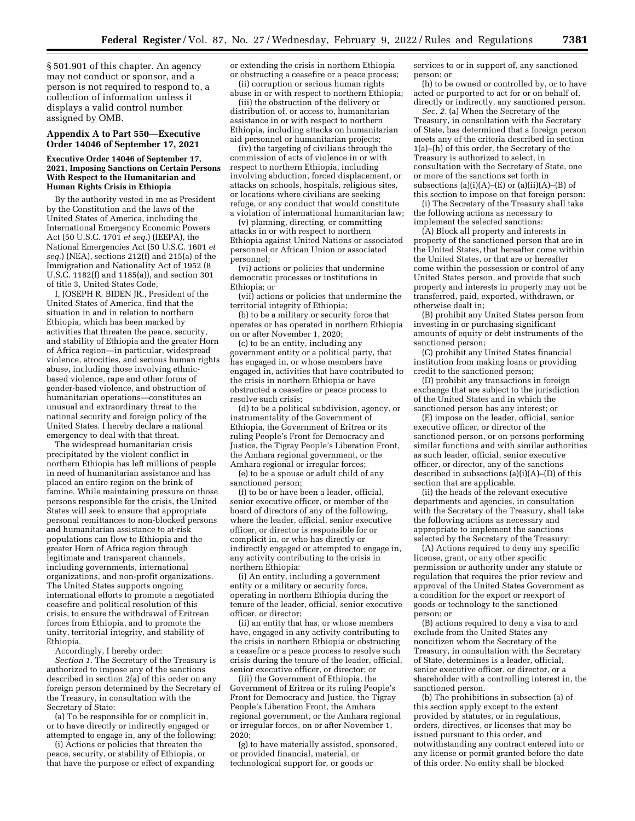§ 501.901 of this chapter. An agency may not conduct or sponsor, and a person is not required to respond to, a collection of information unless it displays a valid control number assigned by OMB.

### **Appendix A to Part 550—Executive Order 14046 of September 17, 2021**

## **Executive Order 14046 of September 17, 2021, Imposing Sanctions on Certain Persons With Respect to the Humanitarian and Human Rights Crisis in Ethiopia**

By the authority vested in me as President by the Constitution and the laws of the United States of America, including the International Emergency Economic Powers Act (50 U.S.C. 1701 *et seq.*) (IEEPA), the National Emergencies Act (50 U.S.C. 1601 *et seq.*) (NEA), sections 212(f) and 215(a) of the Immigration and Nationality Act of 1952 (8 U.S.C. 1182(f) and 1185(a)), and section 301 of title 3, United States Code,

I, JOSEPH R. BIDEN JR., President of the United States of America, find that the situation in and in relation to northern Ethiopia, which has been marked by activities that threaten the peace, security, and stability of Ethiopia and the greater Horn of Africa region—in particular, widespread violence, atrocities, and serious human rights abuse, including those involving ethnicbased violence, rape and other forms of gender-based violence, and obstruction of humanitarian operations—constitutes an unusual and extraordinary threat to the national security and foreign policy of the United States. I hereby declare a national emergency to deal with that threat.

The widespread humanitarian crisis precipitated by the violent conflict in northern Ethiopia has left millions of people in need of humanitarian assistance and has placed an entire region on the brink of famine. While maintaining pressure on those persons responsible for the crisis, the United States will seek to ensure that appropriate personal remittances to non-blocked persons and humanitarian assistance to at-risk populations can flow to Ethiopia and the greater Horn of Africa region through legitimate and transparent channels, including governments, international organizations, and non-profit organizations. The United States supports ongoing international efforts to promote a negotiated ceasefire and political resolution of this crisis, to ensure the withdrawal of Eritrean forces from Ethiopia, and to promote the unity, territorial integrity, and stability of Ethiopia.

Accordingly, I hereby order:

*Section 1.* The Secretary of the Treasury is authorized to impose any of the sanctions described in section 2(a) of this order on any foreign person determined by the Secretary of the Treasury, in consultation with the Secretary of State:

(a) To be responsible for or complicit in, or to have directly or indirectly engaged or attempted to engage in, any of the following:

(i) Actions or policies that threaten the peace, security, or stability of Ethiopia, or that have the purpose or effect of expanding or extending the crisis in northern Ethiopia or obstructing a ceasefire or a peace process; (ii) corruption or serious human rights

abuse in or with respect to northern Ethiopia; (iii) the obstruction of the delivery or

distribution of, or access to, humanitarian assistance in or with respect to northern Ethiopia, including attacks on humanitarian aid personnel or humanitarian projects;

(iv) the targeting of civilians through the commission of acts of violence in or with respect to northern Ethiopia, including involving abduction, forced displacement, or attacks on schools, hospitals, religious sites, or locations where civilians are seeking refuge, or any conduct that would constitute a violation of international humanitarian law;

(v) planning, directing, or committing attacks in or with respect to northern Ethiopia against United Nations or associated personnel or African Union or associated personnel;

(vi) actions or policies that undermine democratic processes or institutions in Ethiopia; or

(vii) actions or policies that undermine the territorial integrity of Ethiopia;

(b) to be a military or security force that operates or has operated in northern Ethiopia on or after November 1, 2020;

(c) to be an entity, including any government entity or a political party, that has engaged in, or whose members have engaged in, activities that have contributed to the crisis in northern Ethiopia or have obstructed a ceasefire or peace process to resolve such crisis;

(d) to be a political subdivision, agency, or instrumentality of the Government of Ethiopia, the Government of Eritrea or its ruling People's Front for Democracy and Justice, the Tigray People's Liberation Front, the Amhara regional government, or the Amhara regional or irregular forces;

(e) to be a spouse or adult child of any sanctioned person;

(f) to be or have been a leader, official, senior executive officer, or member of the board of directors of any of the following, where the leader, official, senior executive officer, or director is responsible for or complicit in, or who has directly or indirectly engaged or attempted to engage in, any activity contributing to the crisis in northern Ethiopia:

(i) An entity, including a government entity or a military or security force, operating in northern Ethiopia during the tenure of the leader, official, senior executive officer, or director;

(ii) an entity that has, or whose members have, engaged in any activity contributing to the crisis in northern Ethiopia or obstructing a ceasefire or a peace process to resolve such crisis during the tenure of the leader, official, senior executive officer, or director; or

(iii) the Government of Ethiopia, the Government of Eritrea or its ruling People's Front for Democracy and Justice, the Tigray People's Liberation Front, the Amhara regional government, or the Amhara regional or irregular forces, on or after November 1, 2020;

(g) to have materially assisted, sponsored, or provided financial, material, or technological support for, or goods or

services to or in support of, any sanctioned person; or

(h) to be owned or controlled by, or to have acted or purported to act for or on behalf of, directly or indirectly, any sanctioned person.

*Sec. 2.* (a) When the Secretary of the Treasury, in consultation with the Secretary of State, has determined that a foreign person meets any of the criteria described in section 1(a)–(h) of this order, the Secretary of the Treasury is authorized to select, in consultation with the Secretary of State, one or more of the sanctions set forth in subsections (a)(i)(A)– $(E)$  or (a)(ii)(A)– $(B)$  of this section to impose on that foreign person:

(i) The Secretary of the Treasury shall take the following actions as necessary to implement the selected sanctions:

(A) Block all property and interests in property of the sanctioned person that are in the United States, that hereafter come within the United States, or that are or hereafter come within the possession or control of any United States person, and provide that such property and interests in property may not be transferred, paid, exported, withdrawn, or otherwise dealt in;

(B) prohibit any United States person from investing in or purchasing significant amounts of equity or debt instruments of the sanctioned person;

(C) prohibit any United States financial institution from making loans or providing credit to the sanctioned person;

(D) prohibit any transactions in foreign exchange that are subject to the jurisdiction of the United States and in which the sanctioned person has any interest; or

(E) impose on the leader, official, senior executive officer, or director of the sanctioned person, or on persons performing similar functions and with similar authorities as such leader, official, senior executive officer, or director, any of the sanctions described in subsections (a)(i)(A)–(D) of this section that are applicable.

(ii) the heads of the relevant executive departments and agencies, in consultation with the Secretary of the Treasury, shall take the following actions as necessary and appropriate to implement the sanctions selected by the Secretary of the Treasury:

(A) Actions required to deny any specific license, grant, or any other specific permission or authority under any statute or regulation that requires the prior review and approval of the United States Government as a condition for the export or reexport of goods or technology to the sanctioned person; or

(B) actions required to deny a visa to and exclude from the United States any noncitizen whom the Secretary of the Treasury, in consultation with the Secretary of State, determines is a leader, official, senior executive officer, or director, or a shareholder with a controlling interest in, the sanctioned person.

(b) The prohibitions in subsection (a) of this section apply except to the extent provided by statutes, or in regulations, orders, directives, or licenses that may be issued pursuant to this order, and notwithstanding any contract entered into or any license or permit granted before the date of this order. No entity shall be blocked